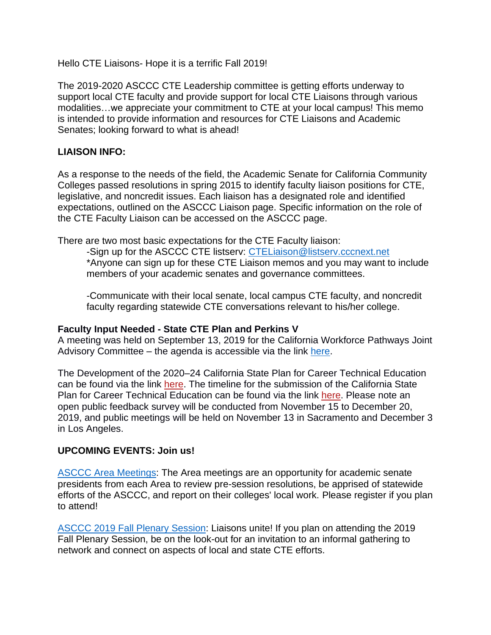Hello CTE Liaisons- Hope it is a terrific Fall 2019!

The 2019-2020 ASCCC CTE Leadership committee is getting efforts underway to support local CTE faculty and provide support for local CTE Liaisons through various modalities…we appreciate your commitment to CTE at your local campus! This memo is intended to provide information and resources for CTE Liaisons and Academic Senates; looking forward to what is ahead!

## **LIAISON INFO:**

As a response to the needs of the field, the Academic Senate for California Community Colleges passed resolutions in spring 2015 to identify faculty liaison positions for CTE, legislative, and noncredit issues. Each liaison has a designated role and identified expectations, outlined on the ASCCC Liaison page. Specific information on the role of the CTE Faculty Liaison can be accessed on the ASCCC page.

There are two most basic expectations for the CTE Faculty liaison:

-Sign up for the ASCCC CTE listserv: [CTELiaison@listserv.cccnext.net](mailto:CTELiaison@listserv.cccnext.net) \*Anyone can sign up for these CTE Liaison memos and you may want to include members of your academic senates and governance committees.

-Communicate with their local senate, local campus CTE faculty, and noncredit faculty regarding statewide CTE conversations relevant to his/her college.

## **Faculty Input Needed - State CTE Plan and Perkins V**

A meeting was held on September 13, 2019 for the California Workforce Pathways Joint Advisory Committee – the agenda is accessible via the link [here.](https://urldefense.proofpoint.com/v2/url?u=https-3A__academicsenate.cmail20.com_t_y-2Dl-2Duythhid-2Dtiochykh-2Ds_&d=DwMFaQ&c=2mkf2LtcPYbxZNbe14MkEA&r=cEbP7WsRN4FOkQaqSaOvlkQ72xRPZ-oHGhvxNLIRFEg&m=6-Js4Cs0NGEo6jCaO-7Kbk9zzoQ1xMoGr6m_Cmc23Mg&s=iHKS9)

The Development of the 2020–24 California State Plan for Career Technical Education can be found via the link [here.](https://urldefense.proofpoint.com/v2/url?u=https-3A__academicsenate.cmail20.com_t_y-2Dl-2Duythhid-2Dtiochykh-2Dg_&d=DwMFaQ&c=2mkf2LtcPYbxZNbe14MkEA&r=cEbP7WsRN4FOkQaqSaOvlkQ72xRPZ-oHGhvxNLIRFEg&m=6-Js4Cs0NGEo6jCaO-7Kbk9zzoQ1xMoGr6m_Cmc23Mg&s=c7lkhc2J-kIox5Lykoy5bW6otvjPX4GUMHWKF6AMky8&e=) The timeline for the submission of the California State Plan for Career Technical Education can be found via the link [here.](https://urldefense.proofpoint.com/v2/url?u=https-3A__academicsenate.cmail20.com_t_y-2Dl-2Duythhid-2Dtiochykh-2Dw_&d=DwMFaQ&c=2mkf2LtcPYbxZNbe14MkEA&r=cEbP7WsRN4FOkQaqSaOvlkQ72xRPZ-oHGhvxNLIRFEg&m=6-Js4Cs0NGEo6jCaO-7Kbk9zzoQ1xMoGr6m_Cmc23Mg&s=chinDcSmHn788wIDZgbNUK2QmoLsXaLygDXuorjHwJQ&e=) Please note an open public feedback survey will be conducted from November 15 to December 20, 2019, and public meetings will be held on November 13 in Sacramento and December 3 in Los Angeles.

## **UPCOMING EVENTS: Join us!**

[ASCCC Area Meetings:](https://www.asccc.org/communities/area-news) The Area meetings are an opportunity for academic senate presidents from each Area to review pre-session resolutions, be apprised of statewide efforts of the ASCCC, and report on their colleges' local work. Please register if you plan to attend!

[ASCCC 2019 Fall Plenary Session:](https://www.asccc.org/events/2019-11-07-160000-2019-11-09-220000/2019-fall-plenary-session) Liaisons unite! If you plan on attending the 2019 Fall Plenary Session, be on the look-out for an invitation to an informal gathering to network and connect on aspects of local and state CTE efforts.